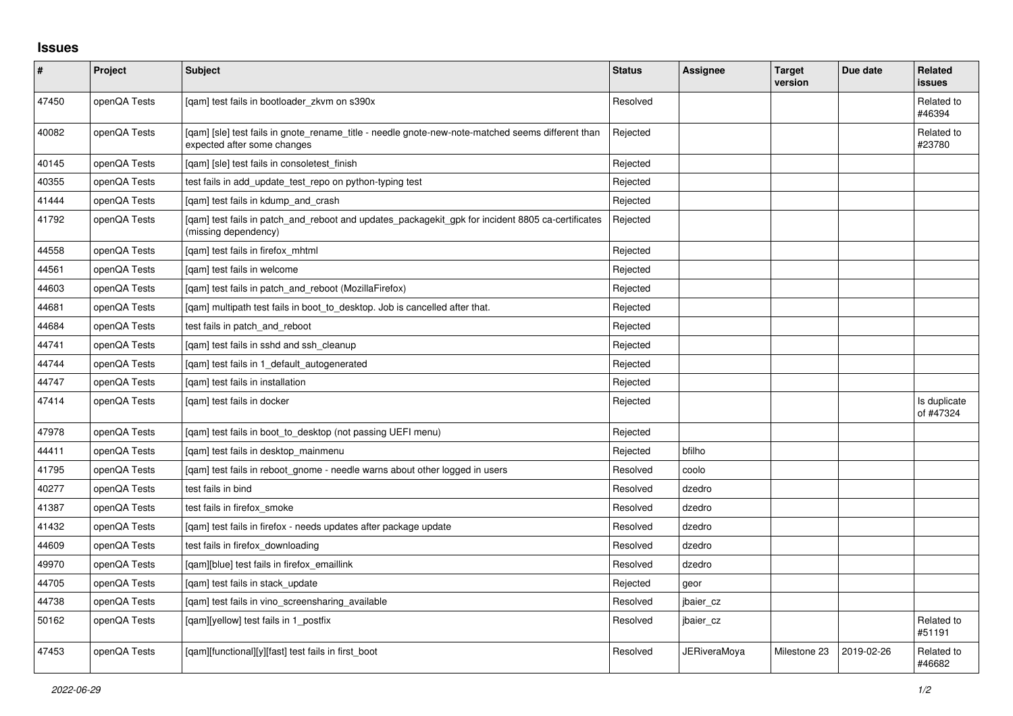## **Issues**

| #     | Project      | Subject                                                                                                                          | <b>Status</b> | Assignee            | <b>Target</b><br>version | Due date   | <b>Related</b><br><b>issues</b> |
|-------|--------------|----------------------------------------------------------------------------------------------------------------------------------|---------------|---------------------|--------------------------|------------|---------------------------------|
| 47450 | openQA Tests | [gam] test fails in bootloader zkvm on s390x                                                                                     | Resolved      |                     |                          |            | Related to<br>#46394            |
| 40082 | openQA Tests | [qam] [sle] test fails in gnote_rename_title - needle gnote-new-note-matched seems different than<br>expected after some changes | Rejected      |                     |                          |            | Related to<br>#23780            |
| 40145 | openQA Tests | [gam] [sle] test fails in consoletest finish                                                                                     | Rejected      |                     |                          |            |                                 |
| 40355 | openQA Tests | test fails in add_update_test_repo on python-typing test                                                                         | Rejected      |                     |                          |            |                                 |
| 41444 | openQA Tests | [gam] test fails in kdump and crash                                                                                              | Rejected      |                     |                          |            |                                 |
| 41792 | openQA Tests | [qam] test fails in patch_and_reboot and updates_packagekit_gpk for incident 8805 ca-certificates<br>(missing dependency)        | Rejected      |                     |                          |            |                                 |
| 44558 | openQA Tests | [gam] test fails in firefox mhtml                                                                                                | Rejected      |                     |                          |            |                                 |
| 44561 | openQA Tests | [gam] test fails in welcome                                                                                                      | Rejected      |                     |                          |            |                                 |
| 44603 | openQA Tests | [qam] test fails in patch_and_reboot (MozillaFirefox)                                                                            | Rejected      |                     |                          |            |                                 |
| 44681 | openQA Tests | [qam] multipath test fails in boot_to_desktop. Job is cancelled after that.                                                      | Rejected      |                     |                          |            |                                 |
| 44684 | openQA Tests | test fails in patch and reboot                                                                                                   | Rejected      |                     |                          |            |                                 |
| 44741 | openQA Tests | [qam] test fails in sshd and ssh_cleanup                                                                                         | Rejected      |                     |                          |            |                                 |
| 44744 | openQA Tests | [gam] test fails in 1 default autogenerated                                                                                      | Rejected      |                     |                          |            |                                 |
| 44747 | openQA Tests | [gam] test fails in installation                                                                                                 | Rejected      |                     |                          |            |                                 |
| 47414 | openQA Tests | [gam] test fails in docker                                                                                                       | Rejected      |                     |                          |            | Is duplicate<br>of #47324       |
| 47978 | openQA Tests | [gam] test fails in boot to desktop (not passing UEFI menu)                                                                      | Rejected      |                     |                          |            |                                 |
| 44411 | openQA Tests | [qam] test fails in desktop_mainmenu                                                                                             | Rejected      | bfilho              |                          |            |                                 |
| 41795 | openQA Tests | [gam] test fails in reboot gnome - needle warns about other logged in users                                                      | Resolved      | coolo               |                          |            |                                 |
| 40277 | openQA Tests | test fails in bind                                                                                                               | Resolved      | dzedro              |                          |            |                                 |
| 41387 | openQA Tests | test fails in firefox smoke                                                                                                      | Resolved      | dzedro              |                          |            |                                 |
| 41432 | openQA Tests | [qam] test fails in firefox - needs updates after package update                                                                 | Resolved      | dzedro              |                          |            |                                 |
| 44609 | openQA Tests | test fails in firefox downloading                                                                                                | Resolved      | dzedro              |                          |            |                                 |
| 49970 | openQA Tests | [gam][blue] test fails in firefox emaillink                                                                                      | Resolved      | dzedro              |                          |            |                                 |
| 44705 | openQA Tests | [qam] test fails in stack_update                                                                                                 | Rejected      | geor                |                          |            |                                 |
| 44738 | openQA Tests | [qam] test fails in vino_screensharing_available                                                                                 | Resolved      | jbaier_cz           |                          |            |                                 |
| 50162 | openQA Tests | [gam][yellow] test fails in 1 postfix                                                                                            | Resolved      | jbaier cz           |                          |            | Related to<br>#51191            |
| 47453 | openQA Tests | [qam][functional][y][fast] test fails in first_boot                                                                              | Resolved      | <b>JERiveraMoya</b> | Milestone 23             | 2019-02-26 | Related to<br>#46682            |